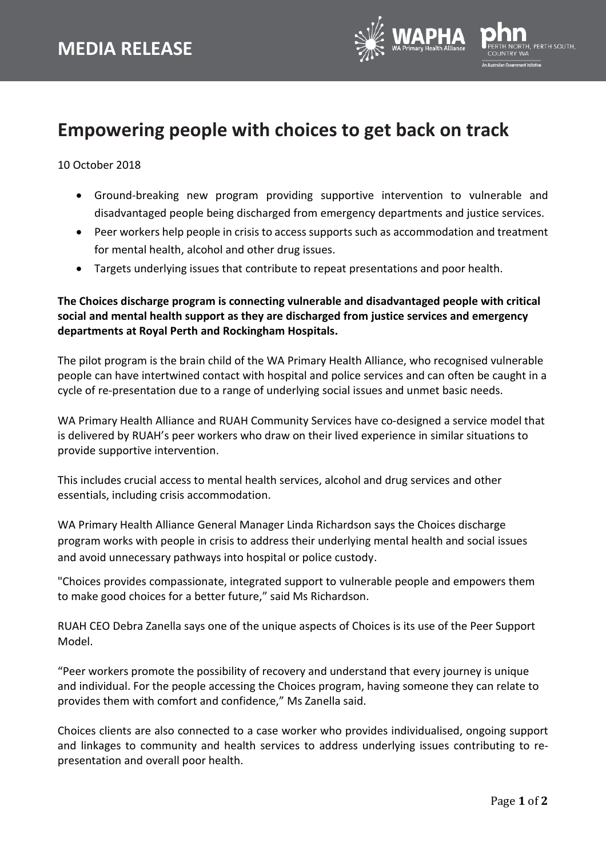

## **Empowering people with choices to get back on track**

10 October 2018

- Ground-breaking new program providing supportive intervention to vulnerable and disadvantaged people being discharged from emergency departments and justice services.
- Peer workers help people in crisis to access supports such as accommodation and treatment for mental health, alcohol and other drug issues.
- Targets underlying issues that contribute to repeat presentations and poor health.

**The Choices discharge program is connecting vulnerable and disadvantaged people with critical social and mental health support as they are discharged from justice services and emergency departments at Royal Perth and Rockingham Hospitals.**

The pilot program is the brain child of the WA Primary Health Alliance, who recognised vulnerable people can have intertwined contact with hospital and police services and can often be caught in a cycle of re-presentation due to a range of underlying social issues and unmet basic needs.

WA Primary Health Alliance and RUAH Community Services have co-designed a service model that is delivered by RUAH's peer workers who draw on their lived experience in similar situations to provide supportive intervention.

This includes crucial access to mental health services, alcohol and drug services and other essentials, including crisis accommodation.

WA Primary Health Alliance General Manager Linda Richardson says the Choices discharge program works with people in crisis to address their underlying mental health and social issues and avoid unnecessary pathways into hospital or police custody.

"Choices provides compassionate, integrated support to vulnerable people and empowers them to make good choices for a better future," said Ms Richardson.

RUAH CEO Debra Zanella says one of the unique aspects of Choices is its use of the Peer Support Model.

"Peer workers promote the possibility of recovery and understand that every journey is unique and individual. For the people accessing the Choices program, having someone they can relate to provides them with comfort and confidence," Ms Zanella said.

Choices clients are also connected to a case worker who provides individualised, ongoing support and linkages to community and health services to address underlying issues contributing to representation and overall poor health.